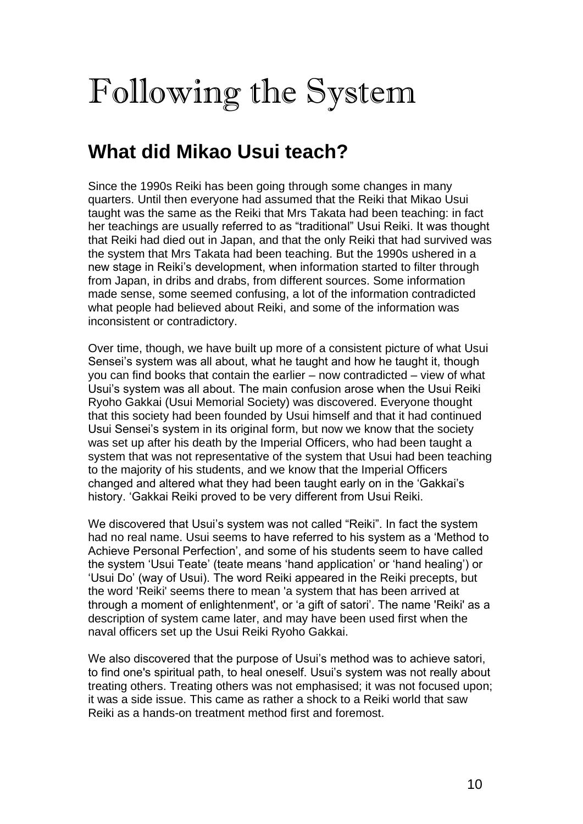# Following the System

# **What did Mikao Usui teach?**

Since the 1990s Reiki has been going through some changes in many quarters. Until then everyone had assumed that the Reiki that Mikao Usui taught was the same as the Reiki that Mrs Takata had been teaching: in fact her teachings are usually referred to as "traditional" Usui Reiki. It was thought that Reiki had died out in Japan, and that the only Reiki that had survived was the system that Mrs Takata had been teaching. But the 1990s ushered in a new stage in Reiki's development, when information started to filter through from Japan, in dribs and drabs, from different sources. Some information made sense, some seemed confusing, a lot of the information contradicted what people had believed about Reiki, and some of the information was inconsistent or contradictory.

Over time, though, we have built up more of a consistent picture of what Usui Sensei's system was all about, what he taught and how he taught it, though you can find books that contain the earlier – now contradicted – view of what Usui's system was all about. The main confusion arose when the Usui Reiki Ryoho Gakkai (Usui Memorial Society) was discovered. Everyone thought that this society had been founded by Usui himself and that it had continued Usui Sensei's system in its original form, but now we know that the society was set up after his death by the Imperial Officers, who had been taught a system that was not representative of the system that Usui had been teaching to the majority of his students, and we know that the Imperial Officers changed and altered what they had been taught early on in the 'Gakkai's history. 'Gakkai Reiki proved to be very different from Usui Reiki.

We discovered that Usui's system was not called "Reiki". In fact the system had no real name. Usui seems to have referred to his system as a 'Method to Achieve Personal Perfection', and some of his students seem to have called the system 'Usui Teate' (teate means 'hand application' or 'hand healing') or 'Usui Do' (way of Usui). The word Reiki appeared in the Reiki precepts, but the word 'Reiki' seems there to mean 'a system that has been arrived at through a moment of enlightenment', or 'a gift of satori'. The name 'Reiki' as a description of system came later, and may have been used first when the naval officers set up the Usui Reiki Ryoho Gakkai.

We also discovered that the purpose of Usui's method was to achieve satori, to find one's spiritual path, to heal oneself. Usui's system was not really about treating others. Treating others was not emphasised; it was not focused upon; it was a side issue. This came as rather a shock to a Reiki world that saw Reiki as a hands-on treatment method first and foremost.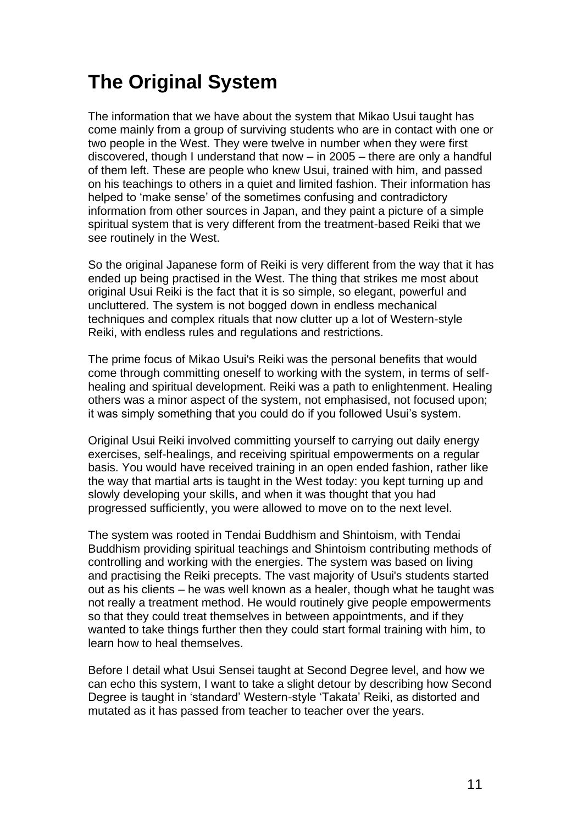# **The Original System**

The information that we have about the system that Mikao Usui taught has come mainly from a group of surviving students who are in contact with one or two people in the West. They were twelve in number when they were first discovered, though I understand that now – in 2005 – there are only a handful of them left. These are people who knew Usui, trained with him, and passed on his teachings to others in a quiet and limited fashion. Their information has helped to 'make sense' of the sometimes confusing and contradictory information from other sources in Japan, and they paint a picture of a simple spiritual system that is very different from the treatment-based Reiki that we see routinely in the West.

So the original Japanese form of Reiki is very different from the way that it has ended up being practised in the West. The thing that strikes me most about original Usui Reiki is the fact that it is so simple, so elegant, powerful and uncluttered. The system is not bogged down in endless mechanical techniques and complex rituals that now clutter up a lot of Western-style Reiki, with endless rules and regulations and restrictions.

The prime focus of Mikao Usui's Reiki was the personal benefits that would come through committing oneself to working with the system, in terms of selfhealing and spiritual development. Reiki was a path to enlightenment. Healing others was a minor aspect of the system, not emphasised, not focused upon; it was simply something that you could do if you followed Usui's system.

Original Usui Reiki involved committing yourself to carrying out daily energy exercises, self-healings, and receiving spiritual empowerments on a regular basis. You would have received training in an open ended fashion, rather like the way that martial arts is taught in the West today: you kept turning up and slowly developing your skills, and when it was thought that you had progressed sufficiently, you were allowed to move on to the next level.

The system was rooted in Tendai Buddhism and Shintoism, with Tendai Buddhism providing spiritual teachings and Shintoism contributing methods of controlling and working with the energies. The system was based on living and practising the Reiki precepts. The vast majority of Usui's students started out as his clients – he was well known as a healer, though what he taught was not really a treatment method. He would routinely give people empowerments so that they could treat themselves in between appointments, and if they wanted to take things further then they could start formal training with him, to learn how to heal themselves.

Before I detail what Usui Sensei taught at Second Degree level, and how we can echo this system, I want to take a slight detour by describing how Second Degree is taught in 'standard' Western-style 'Takata' Reiki, as distorted and mutated as it has passed from teacher to teacher over the years.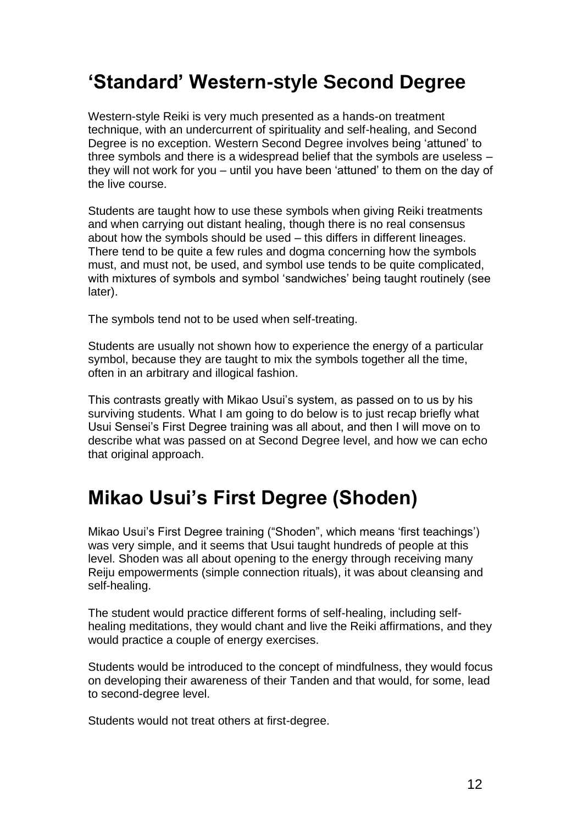## **'Standard' Western-style Second Degree**

Western-style Reiki is very much presented as a hands-on treatment technique, with an undercurrent of spirituality and self-healing, and Second Degree is no exception. Western Second Degree involves being 'attuned' to three symbols and there is a widespread belief that the symbols are useless – they will not work for you – until you have been 'attuned' to them on the day of the live course.

Students are taught how to use these symbols when giving Reiki treatments and when carrying out distant healing, though there is no real consensus about how the symbols should be used – this differs in different lineages. There tend to be quite a few rules and dogma concerning how the symbols must, and must not, be used, and symbol use tends to be quite complicated, with mixtures of symbols and symbol 'sandwiches' being taught routinely (see later).

The symbols tend not to be used when self-treating.

Students are usually not shown how to experience the energy of a particular symbol, because they are taught to mix the symbols together all the time, often in an arbitrary and illogical fashion.

This contrasts greatly with Mikao Usui's system, as passed on to us by his surviving students. What I am going to do below is to just recap briefly what Usui Sensei's First Degree training was all about, and then I will move on to describe what was passed on at Second Degree level, and how we can echo that original approach.

## **Mikao Usui's First Degree (Shoden)**

Mikao Usui's First Degree training ("Shoden", which means 'first teachings') was very simple, and it seems that Usui taught hundreds of people at this level. Shoden was all about opening to the energy through receiving many Reiju empowerments (simple connection rituals), it was about cleansing and self-healing.

The student would practice different forms of self-healing, including selfhealing meditations, they would chant and live the Reiki affirmations, and they would practice a couple of energy exercises.

Students would be introduced to the concept of mindfulness, they would focus on developing their awareness of their Tanden and that would, for some, lead to second-degree level.

Students would not treat others at first-degree.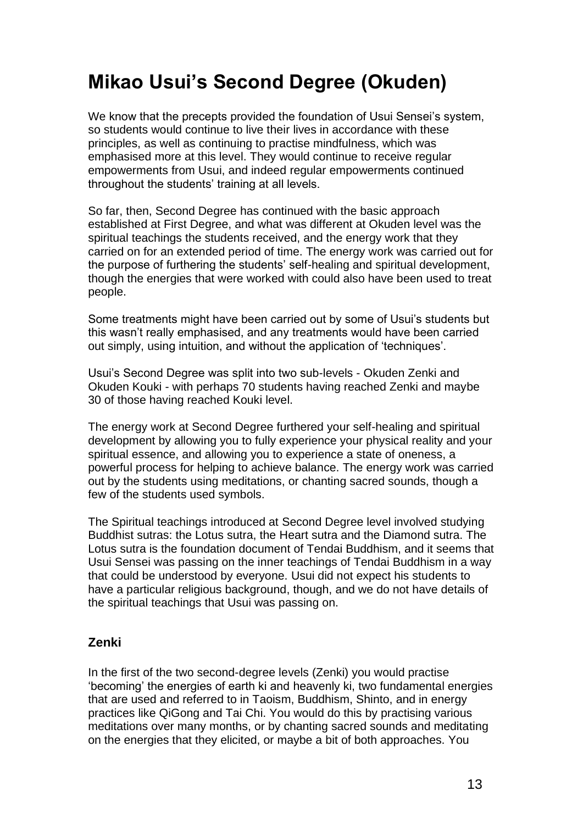# **Mikao Usui's Second Degree (Okuden)**

We know that the precepts provided the foundation of Usui Sensei's system, so students would continue to live their lives in accordance with these principles, as well as continuing to practise mindfulness, which was emphasised more at this level. They would continue to receive regular empowerments from Usui, and indeed regular empowerments continued throughout the students' training at all levels.

So far, then, Second Degree has continued with the basic approach established at First Degree, and what was different at Okuden level was the spiritual teachings the students received, and the energy work that they carried on for an extended period of time. The energy work was carried out for the purpose of furthering the students' self-healing and spiritual development, though the energies that were worked with could also have been used to treat people.

Some treatments might have been carried out by some of Usui's students but this wasn't really emphasised, and any treatments would have been carried out simply, using intuition, and without the application of 'techniques'.

Usui's Second Degree was split into two sub-levels - Okuden Zenki and Okuden Kouki - with perhaps 70 students having reached Zenki and maybe 30 of those having reached Kouki level.

The energy work at Second Degree furthered your self-healing and spiritual development by allowing you to fully experience your physical reality and your spiritual essence, and allowing you to experience a state of oneness, a powerful process for helping to achieve balance. The energy work was carried out by the students using meditations, or chanting sacred sounds, though a few of the students used symbols.

The Spiritual teachings introduced at Second Degree level involved studying Buddhist sutras: the Lotus sutra, the Heart sutra and the Diamond sutra. The Lotus sutra is the foundation document of Tendai Buddhism, and it seems that Usui Sensei was passing on the inner teachings of Tendai Buddhism in a way that could be understood by everyone. Usui did not expect his students to have a particular religious background, though, and we do not have details of the spiritual teachings that Usui was passing on.

## **Zenki**

In the first of the two second-degree levels (Zenki) you would practise 'becoming' the energies of earth ki and heavenly ki, two fundamental energies that are used and referred to in Taoism, Buddhism, Shinto, and in energy practices like QiGong and Tai Chi. You would do this by practising various meditations over many months, or by chanting sacred sounds and meditating on the energies that they elicited, or maybe a bit of both approaches. You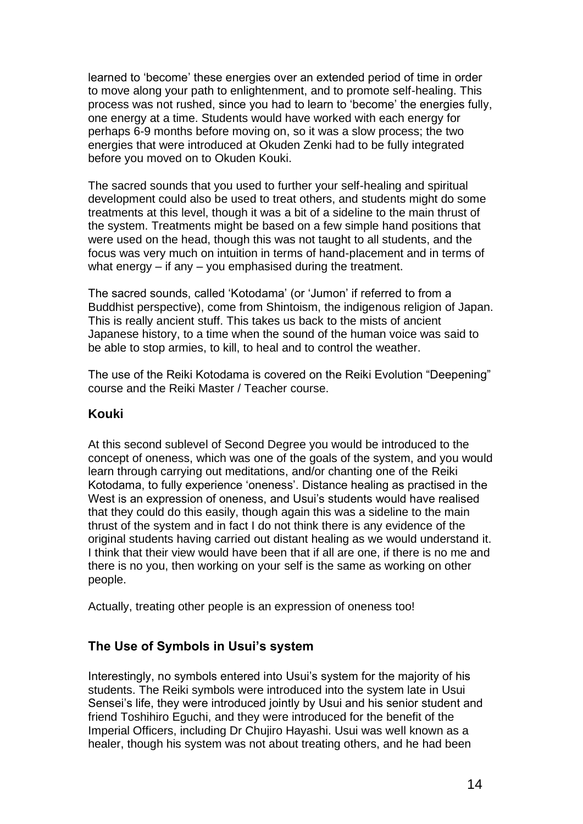learned to 'become' these energies over an extended period of time in order to move along your path to enlightenment, and to promote self-healing. This process was not rushed, since you had to learn to 'become' the energies fully, one energy at a time. Students would have worked with each energy for perhaps 6-9 months before moving on, so it was a slow process; the two energies that were introduced at Okuden Zenki had to be fully integrated before you moved on to Okuden Kouki.

The sacred sounds that you used to further your self-healing and spiritual development could also be used to treat others, and students might do some treatments at this level, though it was a bit of a sideline to the main thrust of the system. Treatments might be based on a few simple hand positions that were used on the head, though this was not taught to all students, and the focus was very much on intuition in terms of hand-placement and in terms of what energy – if any – you emphasised during the treatment.

The sacred sounds, called 'Kotodama' (or 'Jumon' if referred to from a Buddhist perspective), come from Shintoism, the indigenous religion of Japan. This is really ancient stuff. This takes us back to the mists of ancient Japanese history, to a time when the sound of the human voice was said to be able to stop armies, to kill, to heal and to control the weather.

The use of the Reiki Kotodama is covered on the Reiki Evolution "Deepening" course and the Reiki Master / Teacher course.

### **Kouki**

At this second sublevel of Second Degree you would be introduced to the concept of oneness, which was one of the goals of the system, and you would learn through carrying out meditations, and/or chanting one of the Reiki Kotodama, to fully experience 'oneness'. Distance healing as practised in the West is an expression of oneness, and Usui's students would have realised that they could do this easily, though again this was a sideline to the main thrust of the system and in fact I do not think there is any evidence of the original students having carried out distant healing as we would understand it. I think that their view would have been that if all are one, if there is no me and there is no you, then working on your self is the same as working on other people.

Actually, treating other people is an expression of oneness too!

## **The Use of Symbols in Usui's system**

Interestingly, no symbols entered into Usui's system for the majority of his students. The Reiki symbols were introduced into the system late in Usui Sensei's life, they were introduced jointly by Usui and his senior student and friend Toshihiro Eguchi, and they were introduced for the benefit of the Imperial Officers, including Dr Chujiro Hayashi. Usui was well known as a healer, though his system was not about treating others, and he had been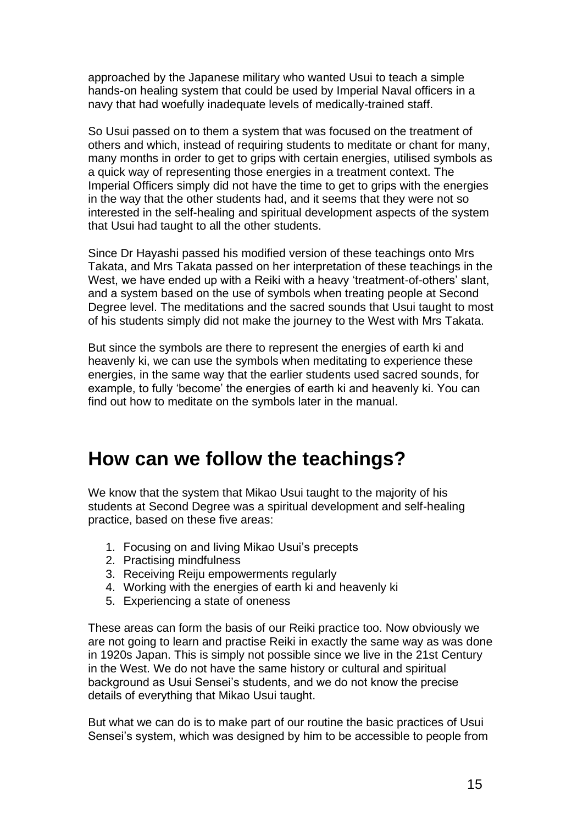approached by the Japanese military who wanted Usui to teach a simple hands-on healing system that could be used by Imperial Naval officers in a navy that had woefully inadequate levels of medically-trained staff.

So Usui passed on to them a system that was focused on the treatment of others and which, instead of requiring students to meditate or chant for many, many months in order to get to grips with certain energies, utilised symbols as a quick way of representing those energies in a treatment context. The Imperial Officers simply did not have the time to get to grips with the energies in the way that the other students had, and it seems that they were not so interested in the self-healing and spiritual development aspects of the system that Usui had taught to all the other students.

Since Dr Hayashi passed his modified version of these teachings onto Mrs Takata, and Mrs Takata passed on her interpretation of these teachings in the West, we have ended up with a Reiki with a heavy 'treatment-of-others' slant, and a system based on the use of symbols when treating people at Second Degree level. The meditations and the sacred sounds that Usui taught to most of his students simply did not make the journey to the West with Mrs Takata.

But since the symbols are there to represent the energies of earth ki and heavenly ki, we can use the symbols when meditating to experience these energies, in the same way that the earlier students used sacred sounds, for example, to fully 'become' the energies of earth ki and heavenly ki. You can find out how to meditate on the symbols later in the manual.

## **How can we follow the teachings?**

We know that the system that Mikao Usui taught to the majority of his students at Second Degree was a spiritual development and self-healing practice, based on these five areas:

- 1. Focusing on and living Mikao Usui's precepts
- 2. Practising mindfulness
- 3. Receiving Reiju empowerments regularly
- 4. Working with the energies of earth ki and heavenly ki
- 5. Experiencing a state of oneness

These areas can form the basis of our Reiki practice too. Now obviously we are not going to learn and practise Reiki in exactly the same way as was done in 1920s Japan. This is simply not possible since we live in the 21st Century in the West. We do not have the same history or cultural and spiritual background as Usui Sensei's students, and we do not know the precise details of everything that Mikao Usui taught.

But what we can do is to make part of our routine the basic practices of Usui Sensei's system, which was designed by him to be accessible to people from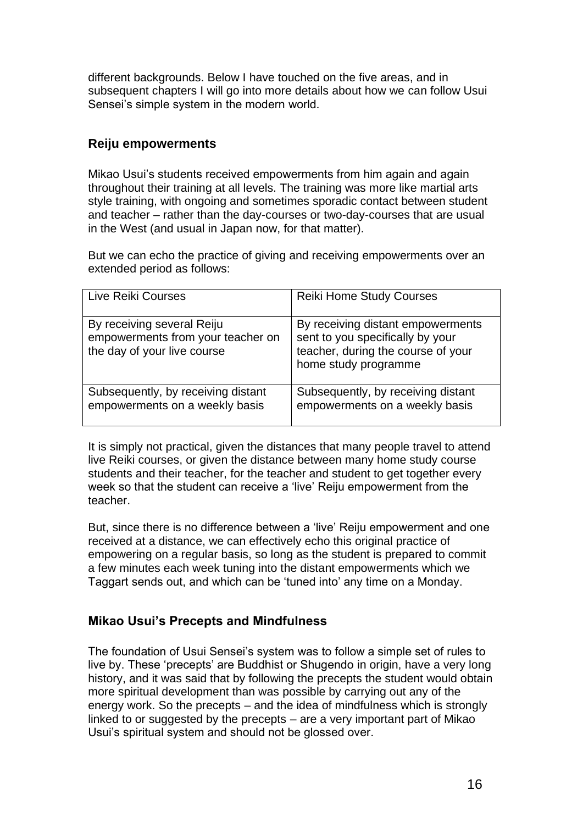different backgrounds. Below I have touched on the five areas, and in subsequent chapters I will go into more details about how we can follow Usui Sensei's simple system in the modern world.

#### **Reiju empowerments**

Mikao Usui's students received empowerments from him again and again throughout their training at all levels. The training was more like martial arts style training, with ongoing and sometimes sporadic contact between student and teacher – rather than the day-courses or two-day-courses that are usual in the West (and usual in Japan now, for that matter).

But we can echo the practice of giving and receiving empowerments over an extended period as follows:

| Live Reiki Courses                                                                             | <b>Reiki Home Study Courses</b>                                                                                                     |
|------------------------------------------------------------------------------------------------|-------------------------------------------------------------------------------------------------------------------------------------|
| By receiving several Reiju<br>empowerments from your teacher on<br>the day of your live course | By receiving distant empowerments<br>sent to you specifically by your<br>teacher, during the course of your<br>home study programme |
| Subsequently, by receiving distant<br>empowerments on a weekly basis                           | Subsequently, by receiving distant<br>empowerments on a weekly basis                                                                |

It is simply not practical, given the distances that many people travel to attend live Reiki courses, or given the distance between many home study course students and their teacher, for the teacher and student to get together every week so that the student can receive a 'live' Reiju empowerment from the teacher.

But, since there is no difference between a 'live' Reiju empowerment and one received at a distance, we can effectively echo this original practice of empowering on a regular basis, so long as the student is prepared to commit a few minutes each week tuning into the distant empowerments which we Taggart sends out, and which can be 'tuned into' any time on a Monday.

## **Mikao Usui's Precepts and Mindfulness**

The foundation of Usui Sensei's system was to follow a simple set of rules to live by. These 'precepts' are Buddhist or Shugendo in origin, have a very long history, and it was said that by following the precepts the student would obtain more spiritual development than was possible by carrying out any of the energy work. So the precepts – and the idea of mindfulness which is strongly linked to or suggested by the precepts – are a very important part of Mikao Usui's spiritual system and should not be glossed over.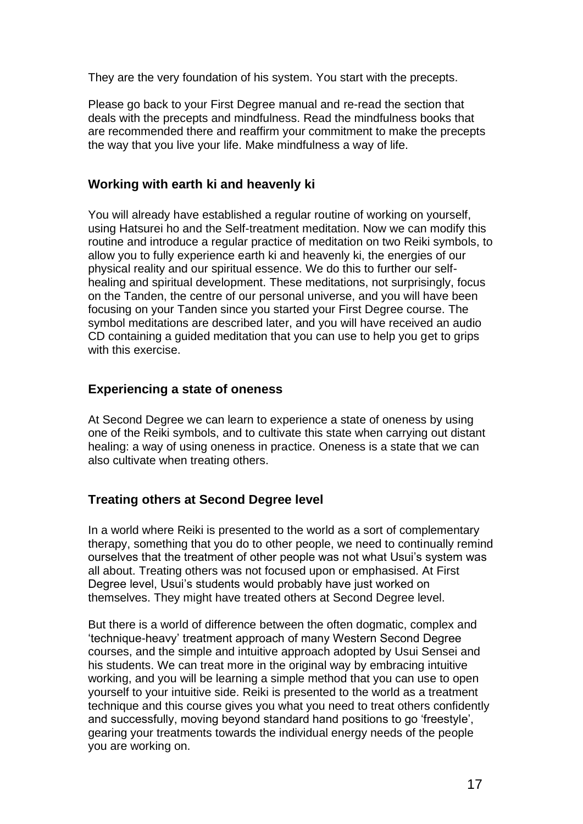They are the very foundation of his system. You start with the precepts.

Please go back to your First Degree manual and re-read the section that deals with the precepts and mindfulness. Read the mindfulness books that are recommended there and reaffirm your commitment to make the precepts the way that you live your life. Make mindfulness a way of life.

### **Working with earth ki and heavenly ki**

You will already have established a regular routine of working on yourself, using Hatsurei ho and the Self-treatment meditation. Now we can modify this routine and introduce a regular practice of meditation on two Reiki symbols, to allow you to fully experience earth ki and heavenly ki, the energies of our physical reality and our spiritual essence. We do this to further our selfhealing and spiritual development. These meditations, not surprisingly, focus on the Tanden, the centre of our personal universe, and you will have been focusing on your Tanden since you started your First Degree course. The symbol meditations are described later, and you will have received an audio CD containing a guided meditation that you can use to help you get to grips with this exercise.

#### **Experiencing a state of oneness**

At Second Degree we can learn to experience a state of oneness by using one of the Reiki symbols, and to cultivate this state when carrying out distant healing: a way of using oneness in practice. Oneness is a state that we can also cultivate when treating others.

#### **Treating others at Second Degree level**

In a world where Reiki is presented to the world as a sort of complementary therapy, something that you do to other people, we need to continually remind ourselves that the treatment of other people was not what Usui's system was all about. Treating others was not focused upon or emphasised. At First Degree level, Usui's students would probably have just worked on themselves. They might have treated others at Second Degree level.

But there is a world of difference between the often dogmatic, complex and 'technique-heavy' treatment approach of many Western Second Degree courses, and the simple and intuitive approach adopted by Usui Sensei and his students. We can treat more in the original way by embracing intuitive working, and you will be learning a simple method that you can use to open yourself to your intuitive side. Reiki is presented to the world as a treatment technique and this course gives you what you need to treat others confidently and successfully, moving beyond standard hand positions to go 'freestyle', gearing your treatments towards the individual energy needs of the people you are working on.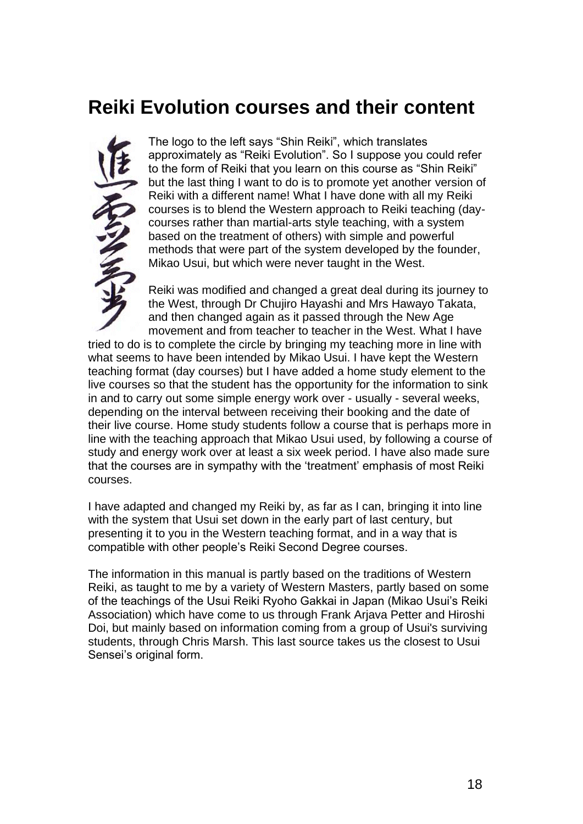## **Reiki Evolution courses and their content**



The logo to the left says "Shin Reiki", which translates approximately as "Reiki Evolution". So I suppose you could refer to the form of Reiki that you learn on this course as "Shin Reiki" but the last thing I want to do is to promote yet another version of Reiki with a different name! What I have done with all my Reiki courses is to blend the Western approach to Reiki teaching (daycourses rather than martial-arts style teaching, with a system based on the treatment of others) with simple and powerful methods that were part of the system developed by the founder, Mikao Usui, but which were never taught in the West.

Reiki was modified and changed a great deal during its journey to the West, through Dr Chujiro Hayashi and Mrs Hawayo Takata, and then changed again as it passed through the New Age movement and from teacher to teacher in the West. What I have

tried to do is to complete the circle by bringing my teaching more in line with what seems to have been intended by Mikao Usui. I have kept the Western teaching format (day courses) but I have added a home study element to the live courses so that the student has the opportunity for the information to sink in and to carry out some simple energy work over - usually - several weeks, depending on the interval between receiving their booking and the date of their live course. Home study students follow a course that is perhaps more in line with the teaching approach that Mikao Usui used, by following a course of study and energy work over at least a six week period. I have also made sure that the courses are in sympathy with the 'treatment' emphasis of most Reiki courses.

I have adapted and changed my Reiki by, as far as I can, bringing it into line with the system that Usui set down in the early part of last century, but presenting it to you in the Western teaching format, and in a way that is compatible with other people's Reiki Second Degree courses.

The information in this manual is partly based on the traditions of Western Reiki, as taught to me by a variety of Western Masters, partly based on some of the teachings of the Usui Reiki Ryoho Gakkai in Japan (Mikao Usui's Reiki Association) which have come to us through Frank Arjava Petter and Hiroshi Doi, but mainly based on information coming from a group of Usui's surviving students, through Chris Marsh. This last source takes us the closest to Usui Sensei's original form.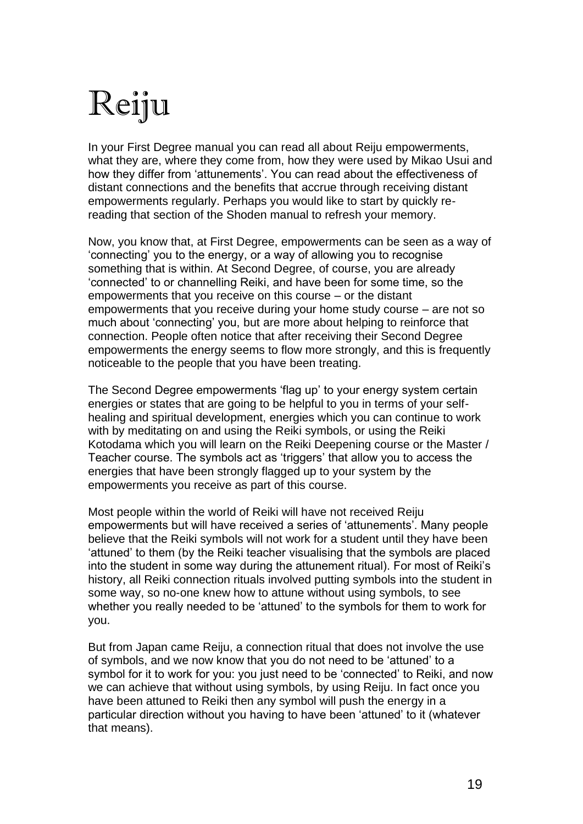# Reiju

In your First Degree manual you can read all about Reiju empowerments, what they are, where they come from, how they were used by Mikao Usui and how they differ from 'attunements'. You can read about the effectiveness of distant connections and the benefits that accrue through receiving distant empowerments regularly. Perhaps you would like to start by quickly rereading that section of the Shoden manual to refresh your memory.

Now, you know that, at First Degree, empowerments can be seen as a way of 'connecting' you to the energy, or a way of allowing you to recognise something that is within. At Second Degree, of course, you are already 'connected' to or channelling Reiki, and have been for some time, so the empowerments that you receive on this course – or the distant empowerments that you receive during your home study course – are not so much about 'connecting' you, but are more about helping to reinforce that connection. People often notice that after receiving their Second Degree empowerments the energy seems to flow more strongly, and this is frequently noticeable to the people that you have been treating.

The Second Degree empowerments 'flag up' to your energy system certain energies or states that are going to be helpful to you in terms of your selfhealing and spiritual development, energies which you can continue to work with by meditating on and using the Reiki symbols, or using the Reiki Kotodama which you will learn on the Reiki Deepening course or the Master / Teacher course. The symbols act as 'triggers' that allow you to access the energies that have been strongly flagged up to your system by the empowerments you receive as part of this course.

Most people within the world of Reiki will have not received Reiju empowerments but will have received a series of 'attunements'. Many people believe that the Reiki symbols will not work for a student until they have been 'attuned' to them (by the Reiki teacher visualising that the symbols are placed into the student in some way during the attunement ritual). For most of Reiki's history, all Reiki connection rituals involved putting symbols into the student in some way, so no-one knew how to attune without using symbols, to see whether you really needed to be 'attuned' to the symbols for them to work for you.

But from Japan came Reiju, a connection ritual that does not involve the use of symbols, and we now know that you do not need to be 'attuned' to a symbol for it to work for you: you just need to be 'connected' to Reiki, and now we can achieve that without using symbols, by using Reiju. In fact once you have been attuned to Reiki then any symbol will push the energy in a particular direction without you having to have been 'attuned' to it (whatever that means).